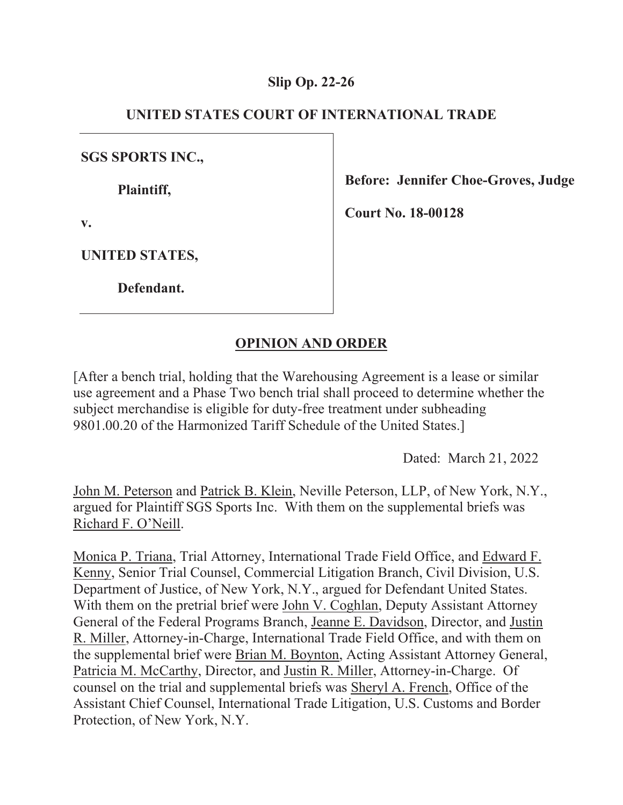### **Slip Op. 22-26**

## **UNITED STATES COURT OF INTERNATIONAL TRADE**

**SGS SPORTS INC.,** 

 **Plaintiff,** 

**v.** 

**Before: Jennifer Choe-Groves, Judge** 

**Court No. 18-00128** 

**UNITED STATES,** 

 **Defendant.** 

# **OPINION AND ORDER**

[After a bench trial, holding that the Warehousing Agreement is a lease or similar use agreement and a Phase Two bench trial shall proceed to determine whether the subject merchandise is eligible for duty-free treatment under subheading 9801.00.20 of the Harmonized Tariff Schedule of the United States.]

Dated: March 21, 2022

John M. Peterson and Patrick B. Klein, Neville Peterson, LLP, of New York, N.Y., argued for Plaintiff SGS Sports Inc. With them on the supplemental briefs was Richard F. O'Neill.

Monica P. Triana, Trial Attorney, International Trade Field Office, and Edward F. Kenny, Senior Trial Counsel, Commercial Litigation Branch, Civil Division, U.S. Department of Justice, of New York, N.Y., argued for Defendant United States. With them on the pretrial brief were John V. Coghlan, Deputy Assistant Attorney General of the Federal Programs Branch, Jeanne E. Davidson, Director, and Justin R. Miller, Attorney-in-Charge, International Trade Field Office, and with them on the supplemental brief were Brian M. Boynton, Acting Assistant Attorney General, Patricia M. McCarthy, Director, and Justin R. Miller, Attorney-in-Charge. Of counsel on the trial and supplemental briefs was Sheryl A. French, Office of the Assistant Chief Counsel, International Trade Litigation, U.S. Customs and Border Protection, of New York, N.Y.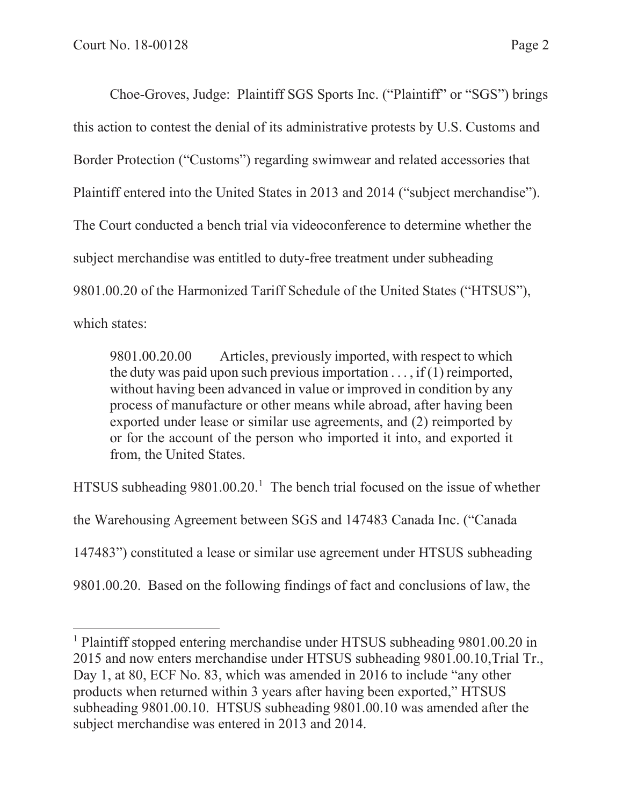Choe-Groves, Judge: Plaintiff SGS Sports Inc. ("Plaintiff" or "SGS") brings this action to contest the denial of its administrative protests by U.S. Customs and Border Protection ("Customs") regarding swimwear and related accessories that Plaintiff entered into the United States in 2013 and 2014 ("subject merchandise"). The Court conducted a bench trial via videoconference to determine whether the subject merchandise was entitled to duty-free treatment under subheading 9801.00.20 of the Harmonized Tariff Schedule of the United States ("HTSUS"), which states:

9801.00.20.00 Articles, previously imported, with respect to which the duty was paid upon such previous importation  $\dots$ , if (1) reimported, without having been advanced in value or improved in condition by any process of manufacture or other means while abroad, after having been exported under lease or similar use agreements, and (2) reimported by or for the account of the person who imported it into, and exported it from, the United States.

HTSUS subheading  $9801.00.20$ .<sup>1</sup> The bench trial focused on the issue of whether

the Warehousing Agreement between SGS and 147483 Canada Inc. ("Canada

147483") constituted a lease or similar use agreement under HTSUS subheading

9801.00.20. Based on the following findings of fact and conclusions of law, the

<sup>&</sup>lt;sup>1</sup> Plaintiff stopped entering merchandise under HTSUS subheading 9801.00.20 in 2015 and now enters merchandise under HTSUS subheading 9801.00.10,Trial Tr., Day 1, at 80, ECF No. 83, which was amended in 2016 to include "any other products when returned within 3 years after having been exported," HTSUS subheading 9801.00.10. HTSUS subheading 9801.00.10 was amended after the subject merchandise was entered in 2013 and 2014.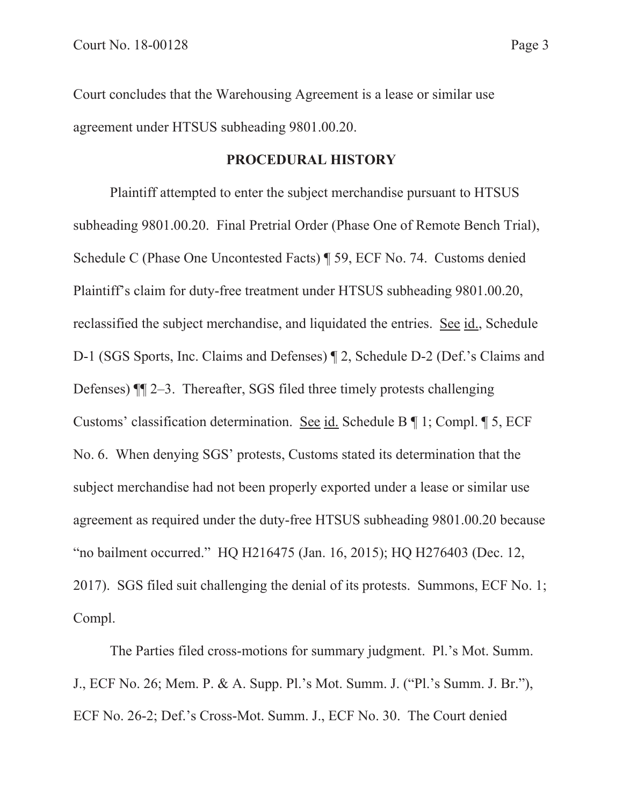Court concludes that the Warehousing Agreement is a lease or similar use agreement under HTSUS subheading 9801.00.20.

### **PROCEDURAL HISTORY**

Plaintiff attempted to enter the subject merchandise pursuant to HTSUS subheading 9801.00.20. Final Pretrial Order (Phase One of Remote Bench Trial), Schedule C (Phase One Uncontested Facts) ¶ 59, ECF No. 74. Customs denied Plaintiff's claim for duty-free treatment under HTSUS subheading 9801.00.20, reclassified the subject merchandise, and liquidated the entries. See id., Schedule D-1 (SGS Sports, Inc. Claims and Defenses) ¶ 2, Schedule D-2 (Def.'s Claims and Defenses) ¶¶ 2–3. Thereafter, SGS filed three timely protests challenging Customs' classification determination. See id. Schedule B ¶ 1; Compl. ¶ 5, ECF No. 6. When denying SGS' protests, Customs stated its determination that the subject merchandise had not been properly exported under a lease or similar use agreement as required under the duty-free HTSUS subheading 9801.00.20 because "no bailment occurred." HQ H216475 (Jan. 16, 2015); HQ H276403 (Dec. 12, 2017). SGS filed suit challenging the denial of its protests. Summons, ECF No. 1; Compl.

 The Parties filed cross-motions for summary judgment. Pl.'s Mot. Summ. J., ECF No. 26; Mem. P. & A. Supp. Pl.'s Mot. Summ. J. ("Pl.'s Summ. J. Br."), ECF No. 26-2; Def.'s Cross-Mot. Summ. J., ECF No. 30. The Court denied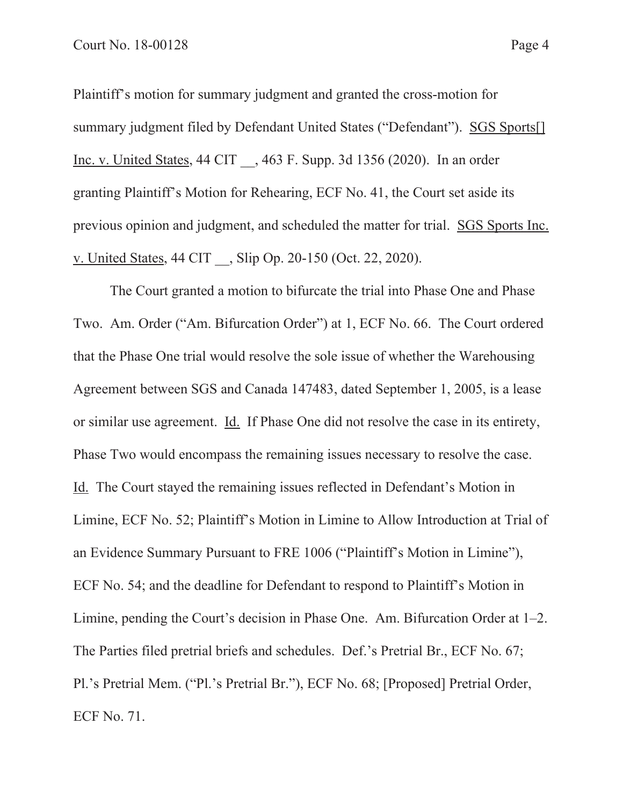Plaintiff's motion for summary judgment and granted the cross-motion for summary judgment filed by Defendant United States ("Defendant"). SGS Sports[] Inc. v. United States, 44 CIT \_\_, 463 F. Supp. 3d 1356 (2020). In an order granting Plaintiff's Motion for Rehearing, ECF No. 41, the Court set aside its previous opinion and judgment, and scheduled the matter for trial. SGS Sports Inc. v. United States, 44 CIT \_\_, Slip Op. 20-150 (Oct. 22, 2020).

 The Court granted a motion to bifurcate the trial into Phase One and Phase Two. Am. Order ("Am. Bifurcation Order") at 1, ECF No. 66. The Court ordered that the Phase One trial would resolve the sole issue of whether the Warehousing Agreement between SGS and Canada 147483, dated September 1, 2005, is a lease or similar use agreement. Id. If Phase One did not resolve the case in its entirety, Phase Two would encompass the remaining issues necessary to resolve the case. Id. The Court stayed the remaining issues reflected in Defendant's Motion in Limine, ECF No. 52; Plaintiff's Motion in Limine to Allow Introduction at Trial of an Evidence Summary Pursuant to FRE 1006 ("Plaintiff's Motion in Limine"), ECF No. 54; and the deadline for Defendant to respond to Plaintiff's Motion in Limine, pending the Court's decision in Phase One. Am. Bifurcation Order at 1–2. The Parties filed pretrial briefs and schedules. Def.'s Pretrial Br., ECF No. 67; Pl.'s Pretrial Mem. ("Pl.'s Pretrial Br."), ECF No. 68; [Proposed] Pretrial Order, ECF No. 71.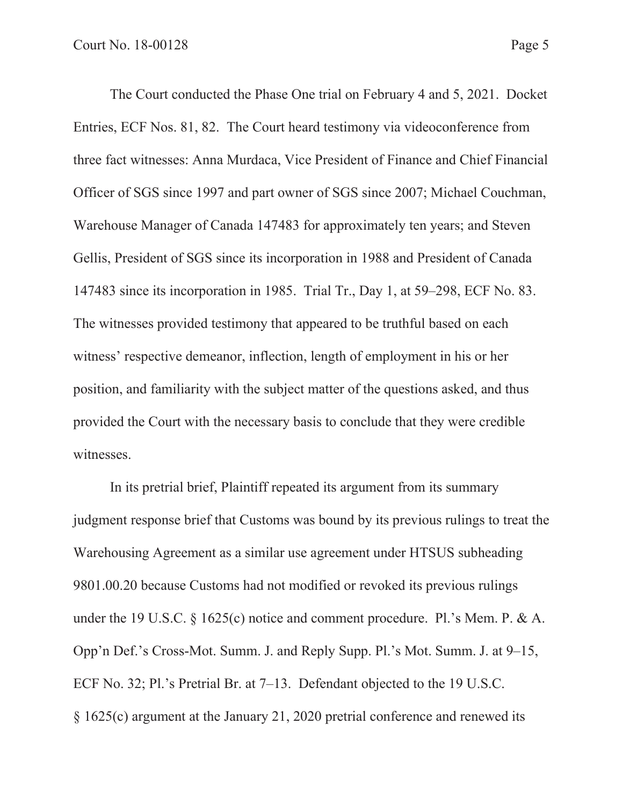The Court conducted the Phase One trial on February 4 and 5, 2021. Docket Entries, ECF Nos. 81, 82. The Court heard testimony via videoconference from three fact witnesses: Anna Murdaca, Vice President of Finance and Chief Financial Officer of SGS since 1997 and part owner of SGS since 2007; Michael Couchman, Warehouse Manager of Canada 147483 for approximately ten years; and Steven Gellis, President of SGS since its incorporation in 1988 and President of Canada 147483 since its incorporation in 1985. Trial Tr., Day 1, at 59–298, ECF No. 83. The witnesses provided testimony that appeared to be truthful based on each witness' respective demeanor, inflection, length of employment in his or her position, and familiarity with the subject matter of the questions asked, and thus provided the Court with the necessary basis to conclude that they were credible witnesses.

 In its pretrial brief, Plaintiff repeated its argument from its summary judgment response brief that Customs was bound by its previous rulings to treat the Warehousing Agreement as a similar use agreement under HTSUS subheading 9801.00.20 because Customs had not modified or revoked its previous rulings under the 19 U.S.C. § 1625(c) notice and comment procedure. Pl.'s Mem. P. & A. Opp'n Def.'s Cross-Mot. Summ. J. and Reply Supp. Pl.'s Mot. Summ. J. at 9–15, ECF No. 32; Pl.'s Pretrial Br. at 7–13. Defendant objected to the 19 U.S.C. § 1625(c) argument at the January 21, 2020 pretrial conference and renewed its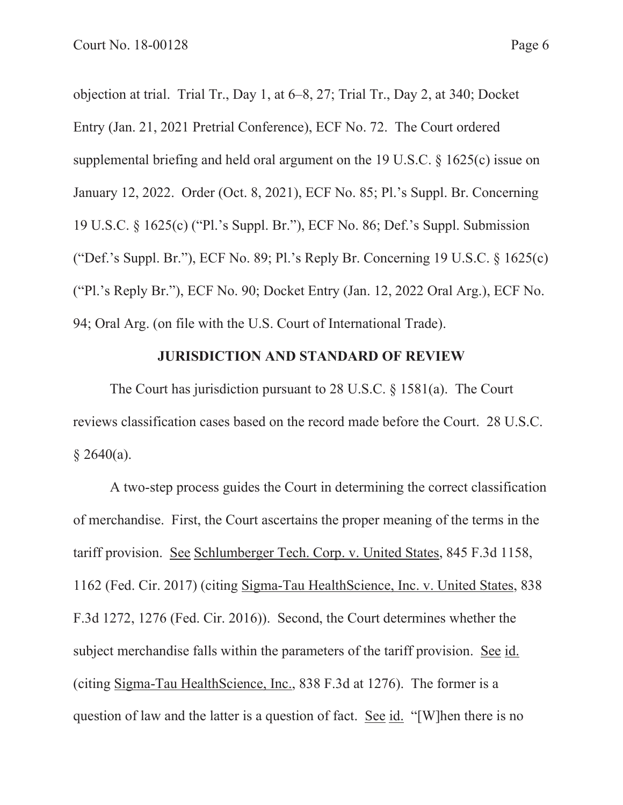objection at trial. Trial Tr., Day 1, at 6–8, 27; Trial Tr., Day 2, at 340; Docket Entry (Jan. 21, 2021 Pretrial Conference), ECF No. 72. The Court ordered supplemental briefing and held oral argument on the 19 U.S.C. § 1625(c) issue on January 12, 2022. Order (Oct. 8, 2021), ECF No. 85; Pl.'s Suppl. Br. Concerning 19 U.S.C. § 1625(c) ("Pl.'s Suppl. Br."), ECF No. 86; Def.'s Suppl. Submission ("Def.'s Suppl. Br."), ECF No. 89; Pl.'s Reply Br. Concerning 19 U.S.C. § 1625(c) ("Pl.'s Reply Br."), ECF No. 90; Docket Entry (Jan. 12, 2022 Oral Arg.), ECF No. 94; Oral Arg. (on file with the U.S. Court of International Trade).

### **JURISDICTION AND STANDARD OF REVIEW**

The Court has jurisdiction pursuant to 28 U.S.C. § 1581(a). The Court reviews classification cases based on the record made before the Court. 28 U.S.C.  $$2640(a).$ 

A two-step process guides the Court in determining the correct classification of merchandise. First, the Court ascertains the proper meaning of the terms in the tariff provision. See Schlumberger Tech. Corp. v. United States, 845 F.3d 1158, 1162 (Fed. Cir. 2017) (citing Sigma-Tau HealthScience, Inc. v. United States, 838 F.3d 1272, 1276 (Fed. Cir. 2016)). Second, the Court determines whether the subject merchandise falls within the parameters of the tariff provision. See id. (citing Sigma-Tau HealthScience, Inc., 838 F.3d at 1276). The former is a question of law and the latter is a question of fact. See id. "[W]hen there is no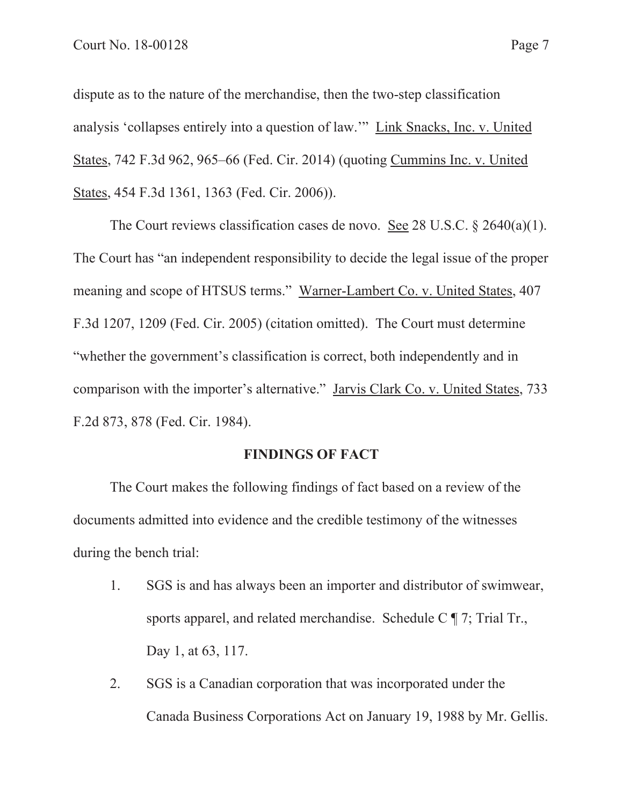dispute as to the nature of the merchandise, then the two-step classification analysis 'collapses entirely into a question of law.'" Link Snacks, Inc. v. United States, 742 F.3d 962, 965–66 (Fed. Cir. 2014) (quoting Cummins Inc. v. United States, 454 F.3d 1361, 1363 (Fed. Cir. 2006)).

The Court reviews classification cases de novo. See 28 U.S.C. § 2640(a)(1). The Court has "an independent responsibility to decide the legal issue of the proper meaning and scope of HTSUS terms." Warner-Lambert Co. v. United States, 407 F.3d 1207, 1209 (Fed. Cir. 2005) (citation omitted). The Court must determine "whether the government's classification is correct, both independently and in comparison with the importer's alternative." Jarvis Clark Co. v. United States, 733 F.2d 873, 878 (Fed. Cir. 1984).

#### **FINDINGS OF FACT**

The Court makes the following findings of fact based on a review of the documents admitted into evidence and the credible testimony of the witnesses during the bench trial:

- 1. SGS is and has always been an importer and distributor of swimwear, sports apparel, and related merchandise. Schedule C ¶ 7; Trial Tr., Day 1, at 63, 117.
- 2. SGS is a Canadian corporation that was incorporated under the Canada Business Corporations Act on January 19, 1988 by Mr. Gellis.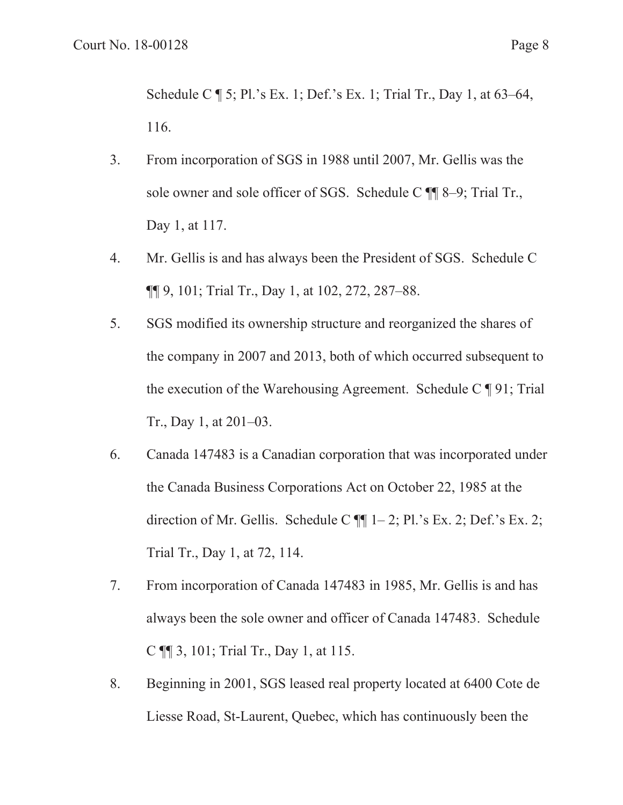Schedule C ¶ 5; Pl.'s Ex. 1; Def.'s Ex. 1; Trial Tr., Day 1, at 63–64, 116.

- 3. From incorporation of SGS in 1988 until 2007, Mr. Gellis was the sole owner and sole officer of SGS. Schedule C ¶¶ 8–9; Trial Tr., Day 1, at 117.
- 4. Mr. Gellis is and has always been the President of SGS. Schedule C ¶¶ 9, 101; Trial Tr., Day 1, at 102, 272, 287–88.
- 5. SGS modified its ownership structure and reorganized the shares of the company in 2007 and 2013, both of which occurred subsequent to the execution of the Warehousing Agreement. Schedule C ¶ 91; Trial Tr., Day 1, at 201–03.
- 6. Canada 147483 is a Canadian corporation that was incorporated under the Canada Business Corporations Act on October 22, 1985 at the direction of Mr. Gellis. Schedule C  $\P$  $[1-2;$  Pl.'s Ex. 2; Def.'s Ex. 2; Trial Tr., Day 1, at 72, 114.
- 7. From incorporation of Canada 147483 in 1985, Mr. Gellis is and has always been the sole owner and officer of Canada 147483. Schedule C ¶¶ 3, 101; Trial Tr., Day 1, at 115.
- 8. Beginning in 2001, SGS leased real property located at 6400 Cote de Liesse Road, St-Laurent, Quebec, which has continuously been the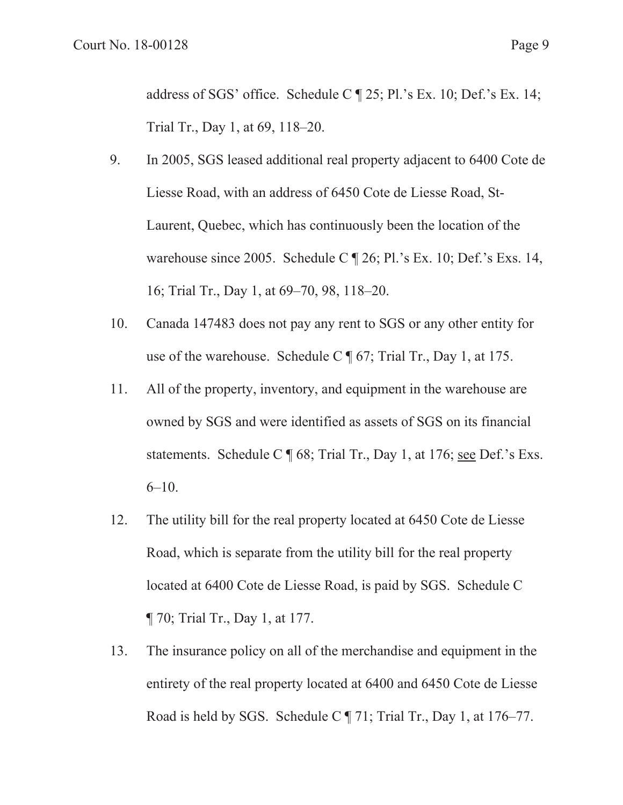address of SGS' office. Schedule C ¶ 25; Pl.'s Ex. 10; Def.'s Ex. 14; Trial Tr., Day 1, at 69, 118–20.

- 9. In 2005, SGS leased additional real property adjacent to 6400 Cote de Liesse Road, with an address of 6450 Cote de Liesse Road, St-Laurent, Quebec, which has continuously been the location of the warehouse since 2005. Schedule C ¶ 26; Pl.'s Ex. 10; Def.'s Exs. 14, 16; Trial Tr., Day 1, at 69–70, 98, 118–20.
- 10. Canada 147483 does not pay any rent to SGS or any other entity for use of the warehouse. Schedule C ¶ 67; Trial Tr., Day 1, at 175.
- 11. All of the property, inventory, and equipment in the warehouse are owned by SGS and were identified as assets of SGS on its financial statements. Schedule C ¶ 68; Trial Tr., Day 1, at 176; see Def.'s Exs. 6–10.
- 12. The utility bill for the real property located at 6450 Cote de Liesse Road, which is separate from the utility bill for the real property located at 6400 Cote de Liesse Road, is paid by SGS. Schedule C ¶ 70; Trial Tr., Day 1, at 177.
- 13. The insurance policy on all of the merchandise and equipment in the entirety of the real property located at 6400 and 6450 Cote de Liesse Road is held by SGS. Schedule C ¶ 71; Trial Tr., Day 1, at 176–77.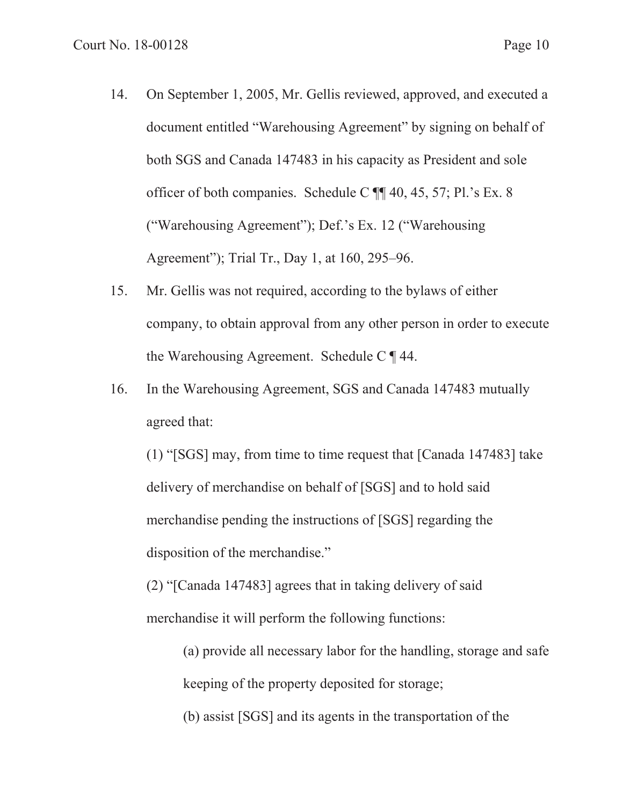- 14. On September 1, 2005, Mr. Gellis reviewed, approved, and executed a document entitled "Warehousing Agreement" by signing on behalf of both SGS and Canada 147483 in his capacity as President and sole officer of both companies. Schedule C ¶¶ 40, 45, 57; Pl.'s Ex. 8 ("Warehousing Agreement"); Def.'s Ex. 12 ("Warehousing Agreement"); Trial Tr., Day 1, at 160, 295–96.
- 15. Mr. Gellis was not required, according to the bylaws of either company, to obtain approval from any other person in order to execute the Warehousing Agreement. Schedule C ¶ 44.
- 16. In the Warehousing Agreement, SGS and Canada 147483 mutually agreed that:

(1) "[SGS] may, from time to time request that [Canada 147483] take delivery of merchandise on behalf of [SGS] and to hold said merchandise pending the instructions of [SGS] regarding the disposition of the merchandise."

(2) "[Canada 147483] agrees that in taking delivery of said merchandise it will perform the following functions:

> (a) provide all necessary labor for the handling, storage and safe keeping of the property deposited for storage;

(b) assist [SGS] and its agents in the transportation of the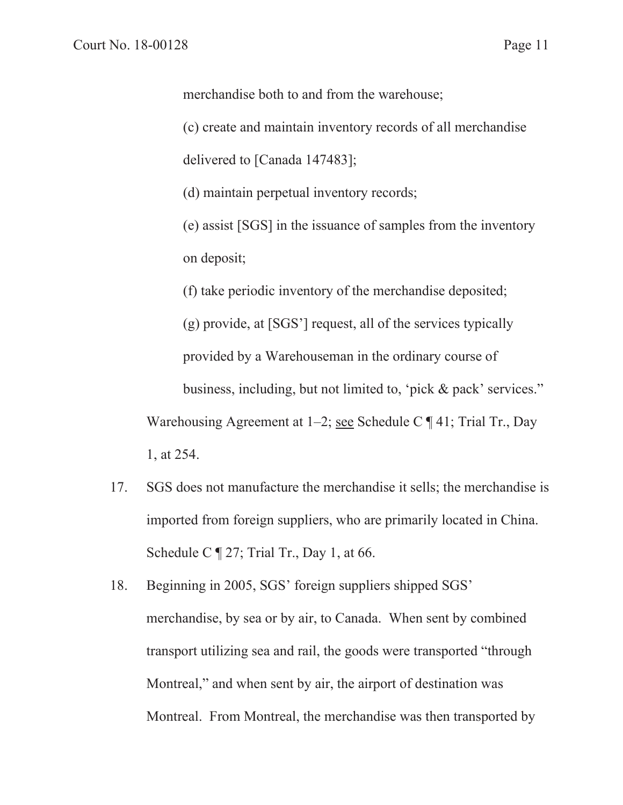merchandise both to and from the warehouse;

 (c) create and maintain inventory records of all merchandise delivered to [Canada 147483];

(d) maintain perpetual inventory records;

 (e) assist [SGS] in the issuance of samples from the inventory on deposit;

(f) take periodic inventory of the merchandise deposited;

 (g) provide, at [SGS'] request, all of the services typically provided by a Warehouseman in the ordinary course of business, including, but not limited to, 'pick & pack' services." Warehousing Agreement at 1–2; see Schedule C  $\P$  41; Trial Tr., Day 1, at 254.

- 17. SGS does not manufacture the merchandise it sells; the merchandise is imported from foreign suppliers, who are primarily located in China. Schedule C  $\P$  27; Trial Tr., Day 1, at 66.
- 18. Beginning in 2005, SGS' foreign suppliers shipped SGS' merchandise, by sea or by air, to Canada. When sent by combined transport utilizing sea and rail, the goods were transported "through Montreal," and when sent by air, the airport of destination was Montreal. From Montreal, the merchandise was then transported by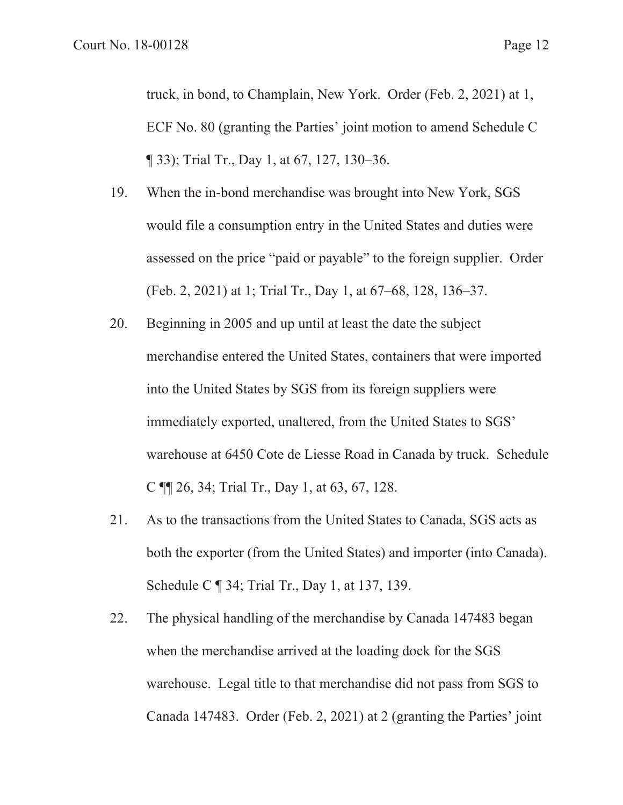truck, in bond, to Champlain, New York. Order (Feb. 2, 2021) at 1, ECF No. 80 (granting the Parties' joint motion to amend Schedule C ¶ 33); Trial Tr., Day 1, at 67, 127, 130–36.

- 19. When the in-bond merchandise was brought into New York, SGS would file a consumption entry in the United States and duties were assessed on the price "paid or payable" to the foreign supplier. Order (Feb. 2, 2021) at 1; Trial Tr., Day 1, at 67–68, 128, 136–37.
- 20. Beginning in 2005 and up until at least the date the subject merchandise entered the United States, containers that were imported into the United States by SGS from its foreign suppliers were immediately exported, unaltered, from the United States to SGS' warehouse at 6450 Cote de Liesse Road in Canada by truck. Schedule C ¶¶ 26, 34; Trial Tr., Day 1, at 63, 67, 128.
- 21. As to the transactions from the United States to Canada, SGS acts as both the exporter (from the United States) and importer (into Canada). Schedule C ¶ 34; Trial Tr., Day 1, at 137, 139.
- 22. The physical handling of the merchandise by Canada 147483 began when the merchandise arrived at the loading dock for the SGS warehouse. Legal title to that merchandise did not pass from SGS to Canada 147483. Order (Feb. 2, 2021) at 2 (granting the Parties' joint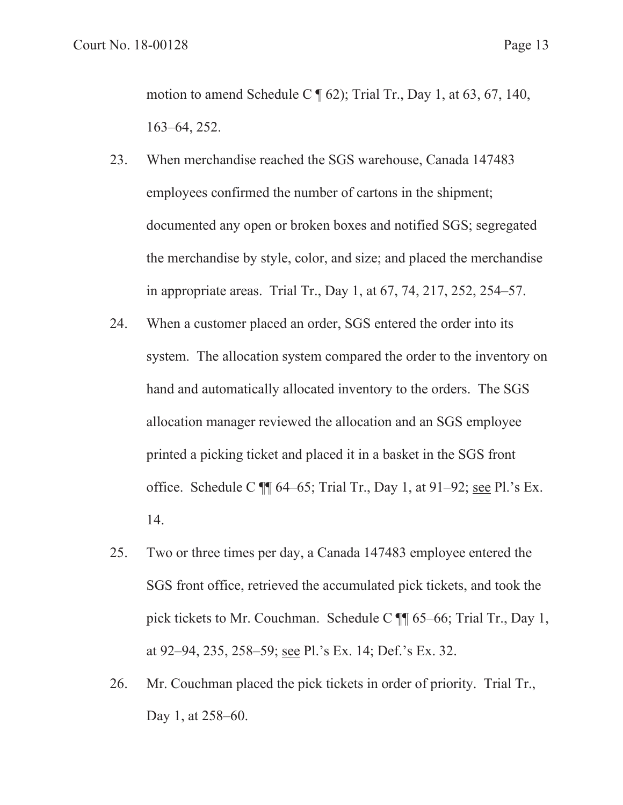motion to amend Schedule C  $\P$  62); Trial Tr., Day 1, at 63, 67, 140, 163–64, 252.

- 23. When merchandise reached the SGS warehouse, Canada 147483 employees confirmed the number of cartons in the shipment; documented any open or broken boxes and notified SGS; segregated the merchandise by style, color, and size; and placed the merchandise in appropriate areas. Trial Tr., Day 1, at 67, 74, 217, 252, 254–57.
- 24. When a customer placed an order, SGS entered the order into its system. The allocation system compared the order to the inventory on hand and automatically allocated inventory to the orders. The SGS allocation manager reviewed the allocation and an SGS employee printed a picking ticket and placed it in a basket in the SGS front office. Schedule C ¶¶ 64–65; Trial Tr., Day 1, at 91–92; see Pl.'s Ex. 14.
- 25. Two or three times per day, a Canada 147483 employee entered the SGS front office, retrieved the accumulated pick tickets, and took the pick tickets to Mr. Couchman. Schedule C ¶¶ 65–66; Trial Tr., Day 1, at 92–94, 235, 258–59; see Pl.'s Ex. 14; Def.'s Ex. 32.
- 26. Mr. Couchman placed the pick tickets in order of priority. Trial Tr., Day 1, at 258–60.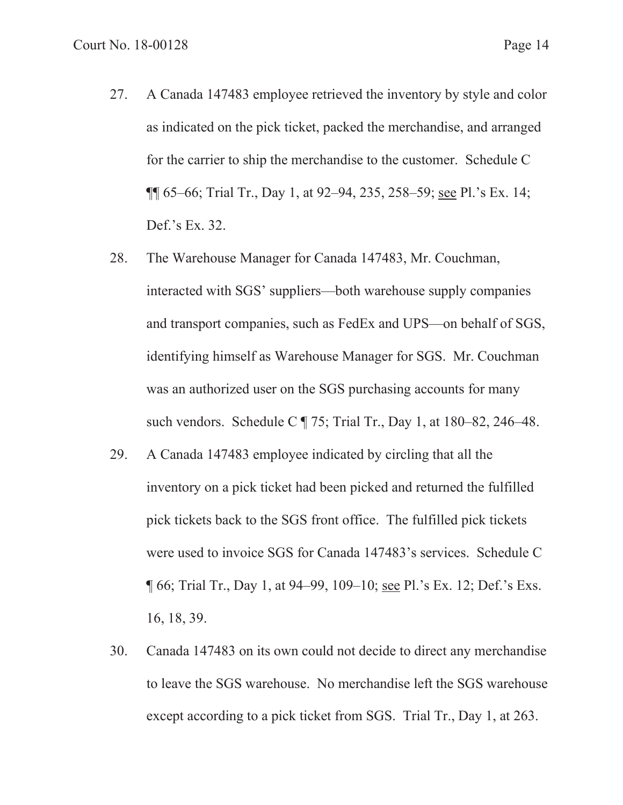27. A Canada 147483 employee retrieved the inventory by style and color as indicated on the pick ticket, packed the merchandise, and arranged for the carrier to ship the merchandise to the customer. Schedule C ¶¶ 65–66; Trial Tr., Day 1, at 92–94, 235, 258–59; see Pl.'s Ex. 14;

Def.'s Ex. 32.

- 28. The Warehouse Manager for Canada 147483, Mr. Couchman, interacted with SGS' suppliers—both warehouse supply companies and transport companies, such as FedEx and UPS—on behalf of SGS, identifying himself as Warehouse Manager for SGS. Mr. Couchman was an authorized user on the SGS purchasing accounts for many such vendors. Schedule C  $\sqrt{$  75; Trial Tr., Day 1, at 180–82, 246–48.
- 29. A Canada 147483 employee indicated by circling that all the inventory on a pick ticket had been picked and returned the fulfilled pick tickets back to the SGS front office. The fulfilled pick tickets were used to invoice SGS for Canada 147483's services. Schedule C ¶ 66; Trial Tr., Day 1, at 94–99, 109–10; see Pl.'s Ex. 12; Def.'s Exs. 16, 18, 39.
- 30. Canada 147483 on its own could not decide to direct any merchandise to leave the SGS warehouse. No merchandise left the SGS warehouse except according to a pick ticket from SGS. Trial Tr., Day 1, at 263.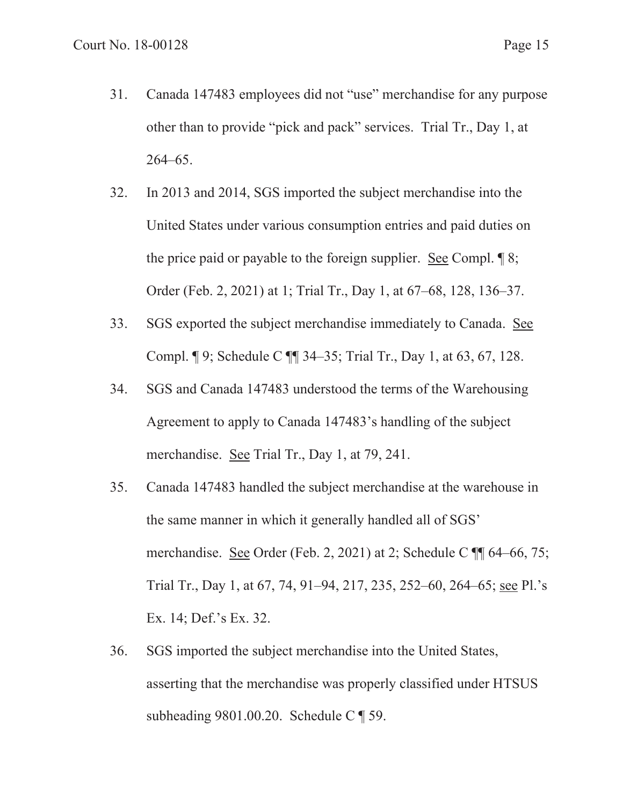- 31. Canada 147483 employees did not "use" merchandise for any purpose other than to provide "pick and pack" services. Trial Tr., Day 1, at 264–65.
- 32. In 2013 and 2014, SGS imported the subject merchandise into the United States under various consumption entries and paid duties on the price paid or payable to the foreign supplier. See Compl. ¶ 8; Order (Feb. 2, 2021) at 1; Trial Tr., Day 1, at 67–68, 128, 136–37.
- 33. SGS exported the subject merchandise immediately to Canada. See Compl. ¶ 9; Schedule C ¶¶ 34–35; Trial Tr., Day 1, at 63, 67, 128.
- 34. SGS and Canada 147483 understood the terms of the Warehousing Agreement to apply to Canada 147483's handling of the subject merchandise. See Trial Tr., Day 1, at 79, 241.
- 35. Canada 147483 handled the subject merchandise at the warehouse in the same manner in which it generally handled all of SGS' merchandise. See Order (Feb. 2, 2021) at 2; Schedule C  $\P$  64–66, 75; Trial Tr., Day 1, at 67, 74, 91–94, 217, 235, 252–60, 264–65; see Pl.'s Ex. 14; Def.'s Ex. 32.
- 36. SGS imported the subject merchandise into the United States, asserting that the merchandise was properly classified under HTSUS subheading 9801.00.20. Schedule C ¶ 59.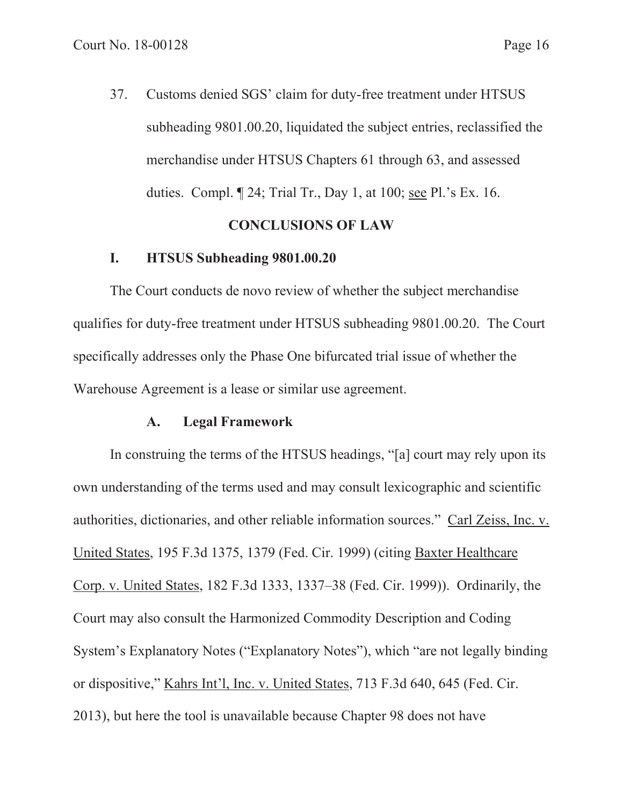37. Customs denied SGS' claim for duty-free treatment under HTSUS subheading 9801.00.20, liquidated the subject entries, reclassified the merchandise under HTSUS Chapters 61 through 63, and assessed duties. Compl. ¶ 24; Trial Tr., Day 1, at 100; see Pl.'s Ex. 16.

### **CONCLUSIONS OF LAW**

#### **I. HTSUS Subheading 9801.00.20**

The Court conducts de novo review of whether the subject merchandise qualifies for duty-free treatment under HTSUS subheading 9801.00.20. The Court specifically addresses only the Phase One bifurcated trial issue of whether the Warehouse Agreement is a lease or similar use agreement.

#### **A. Legal Framework**

In construing the terms of the HTSUS headings, "[a] court may rely upon its own understanding of the terms used and may consult lexicographic and scientific authorities, dictionaries, and other reliable information sources." Carl Zeiss, Inc. v. United States, 195 F.3d 1375, 1379 (Fed. Cir. 1999) (citing Baxter Healthcare Corp. v. United States, 182 F.3d 1333, 1337–38 (Fed. Cir. 1999)). Ordinarily, the Court may also consult the Harmonized Commodity Description and Coding System's Explanatory Notes ("Explanatory Notes"), which "are not legally binding or dispositive," Kahrs Int'l, Inc. v. United States, 713 F.3d 640, 645 (Fed. Cir. 2013), but here the tool is unavailable because Chapter 98 does not have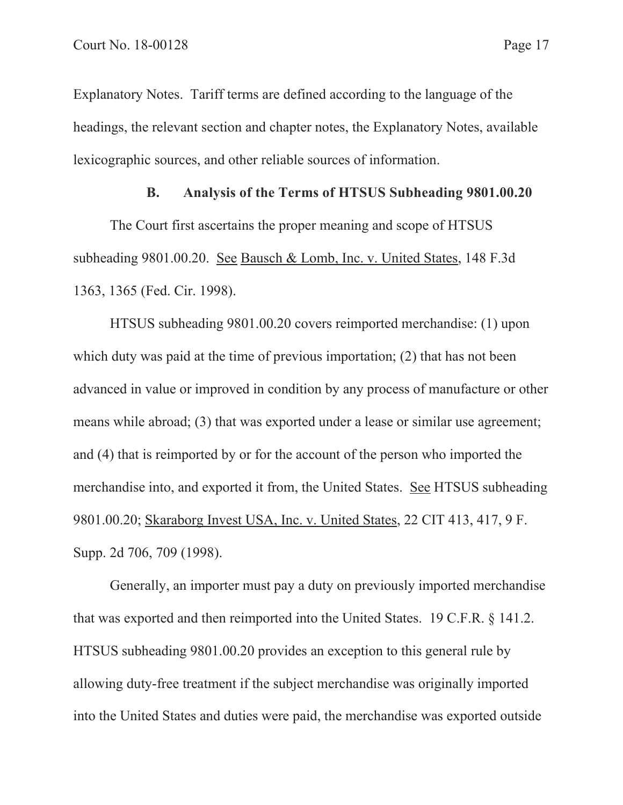Explanatory Notes. Tariff terms are defined according to the language of the headings, the relevant section and chapter notes, the Explanatory Notes, available lexicographic sources, and other reliable sources of information.

#### **B. Analysis of the Terms of HTSUS Subheading 9801.00.20**

The Court first ascertains the proper meaning and scope of HTSUS subheading 9801.00.20. See Bausch & Lomb, Inc. v. United States, 148 F.3d 1363, 1365 (Fed. Cir. 1998).

HTSUS subheading 9801.00.20 covers reimported merchandise: (1) upon which duty was paid at the time of previous importation; (2) that has not been advanced in value or improved in condition by any process of manufacture or other means while abroad; (3) that was exported under a lease or similar use agreement; and (4) that is reimported by or for the account of the person who imported the merchandise into, and exported it from, the United States. See HTSUS subheading 9801.00.20; Skaraborg Invest USA, Inc. v. United States, 22 CIT 413, 417, 9 F. Supp. 2d 706, 709 (1998).

Generally, an importer must pay a duty on previously imported merchandise that was exported and then reimported into the United States. 19 C.F.R. § 141.2. HTSUS subheading 9801.00.20 provides an exception to this general rule by allowing duty-free treatment if the subject merchandise was originally imported into the United States and duties were paid, the merchandise was exported outside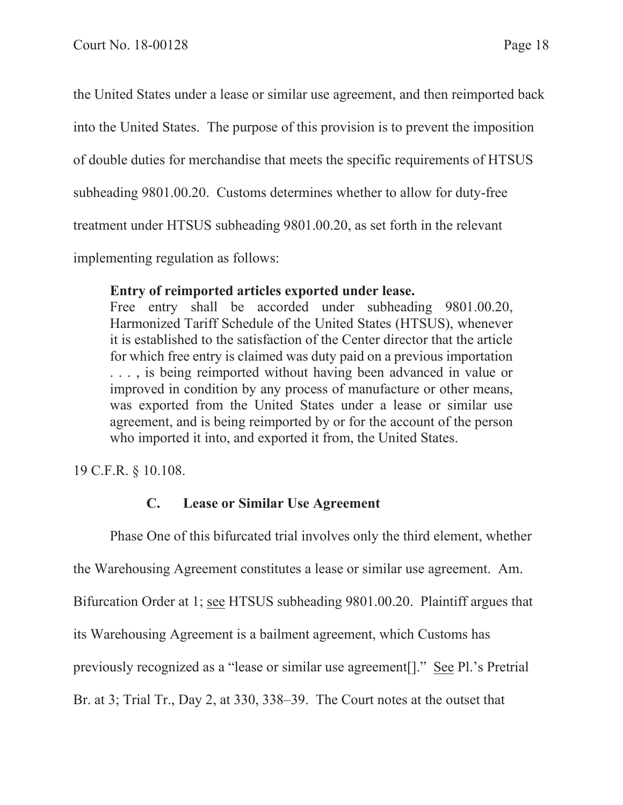the United States under a lease or similar use agreement, and then reimported back

into the United States. The purpose of this provision is to prevent the imposition

of double duties for merchandise that meets the specific requirements of HTSUS

subheading 9801.00.20. Customs determines whether to allow for duty-free

treatment under HTSUS subheading 9801.00.20, as set forth in the relevant

implementing regulation as follows:

## **Entry of reimported articles exported under lease.**

Free entry shall be accorded under subheading 9801.00.20, Harmonized Tariff Schedule of the United States (HTSUS), whenever it is established to the satisfaction of the Center director that the article for which free entry is claimed was duty paid on a previous importation . . . , is being reimported without having been advanced in value or improved in condition by any process of manufacture or other means, was exported from the United States under a lease or similar use agreement, and is being reimported by or for the account of the person who imported it into, and exported it from, the United States.

19 C.F.R. § 10.108.

# **C. Lease or Similar Use Agreement**

Phase One of this bifurcated trial involves only the third element, whether the Warehousing Agreement constitutes a lease or similar use agreement. Am. Bifurcation Order at 1; see HTSUS subheading 9801.00.20. Plaintiff argues that its Warehousing Agreement is a bailment agreement, which Customs has previously recognized as a "lease or similar use agreement[]." See Pl.'s Pretrial Br. at 3; Trial Tr., Day 2, at 330, 338–39. The Court notes at the outset that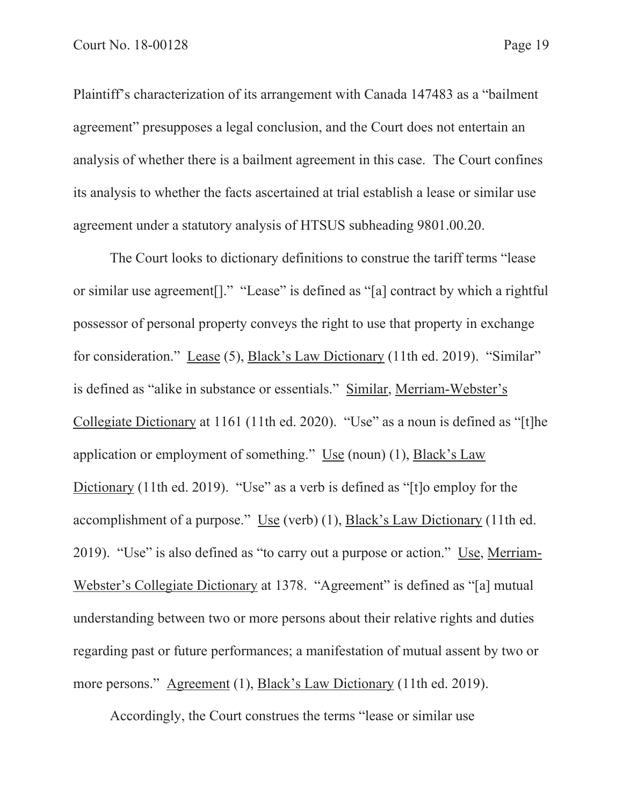Plaintiff's characterization of its arrangement with Canada 147483 as a "bailment agreement" presupposes a legal conclusion, and the Court does not entertain an analysis of whether there is a bailment agreement in this case. The Court confines its analysis to whether the facts ascertained at trial establish a lease or similar use agreement under a statutory analysis of HTSUS subheading 9801.00.20.

The Court looks to dictionary definitions to construe the tariff terms "lease or similar use agreement[]." "Lease" is defined as "[a] contract by which a rightful possessor of personal property conveys the right to use that property in exchange for consideration." Lease (5), Black's Law Dictionary (11th ed. 2019). "Similar" is defined as "alike in substance or essentials." Similar, Merriam-Webster's Collegiate Dictionary at 1161 (11th ed. 2020). "Use" as a noun is defined as "[t]he application or employment of something." Use (noun) (1), Black's Law Dictionary (11th ed. 2019). "Use" as a verb is defined as "[t]o employ for the accomplishment of a purpose." Use (verb) (1), Black's Law Dictionary (11th ed. 2019). "Use" is also defined as "to carry out a purpose or action." Use, Merriam-Webster's Collegiate Dictionary at 1378. "Agreement" is defined as "[a] mutual understanding between two or more persons about their relative rights and duties regarding past or future performances; a manifestation of mutual assent by two or more persons." Agreement (1), Black's Law Dictionary (11th ed. 2019).

Accordingly, the Court construes the terms "lease or similar use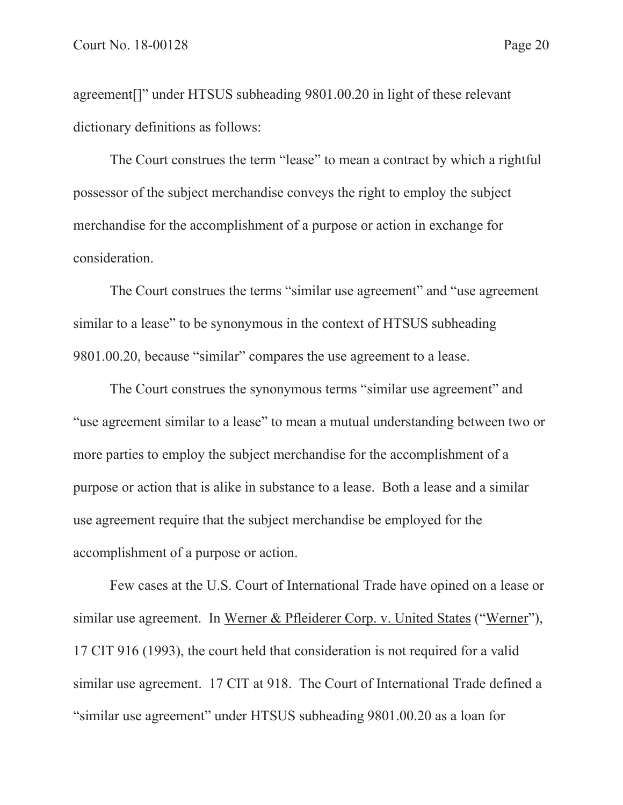agreement[]" under HTSUS subheading 9801.00.20 in light of these relevant dictionary definitions as follows:

The Court construes the term "lease" to mean a contract by which a rightful possessor of the subject merchandise conveys the right to employ the subject merchandise for the accomplishment of a purpose or action in exchange for consideration.

The Court construes the terms "similar use agreement" and "use agreement similar to a lease" to be synonymous in the context of HTSUS subheading 9801.00.20, because "similar" compares the use agreement to a lease.

The Court construes the synonymous terms "similar use agreement" and "use agreement similar to a lease" to mean a mutual understanding between two or more parties to employ the subject merchandise for the accomplishment of a purpose or action that is alike in substance to a lease. Both a lease and a similar use agreement require that the subject merchandise be employed for the accomplishment of a purpose or action.

Few cases at the U.S. Court of International Trade have opined on a lease or similar use agreement. In Werner & Pfleiderer Corp. v. United States ("Werner"), 17 CIT 916 (1993), the court held that consideration is not required for a valid similar use agreement. 17 CIT at 918. The Court of International Trade defined a "similar use agreement" under HTSUS subheading 9801.00.20 as a loan for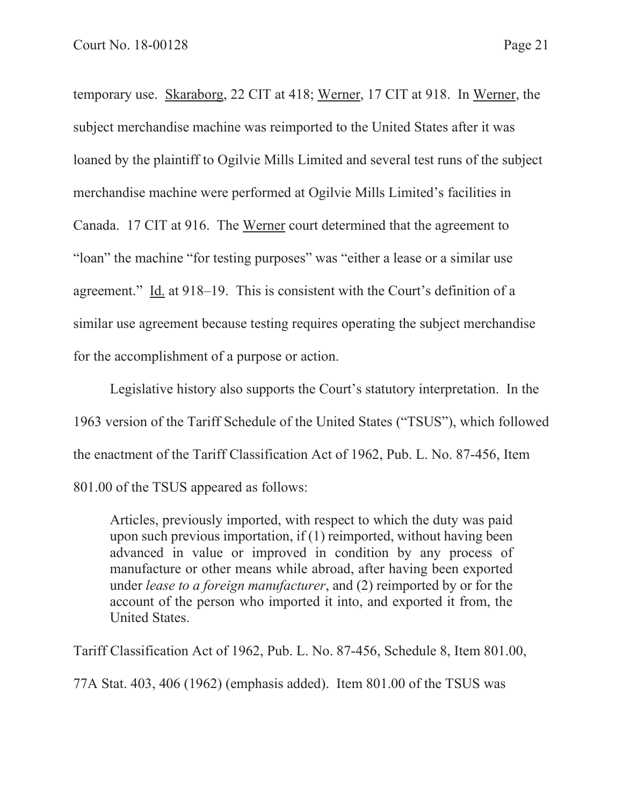temporary use. Skaraborg, 22 CIT at 418; Werner, 17 CIT at 918. In Werner, the subject merchandise machine was reimported to the United States after it was loaned by the plaintiff to Ogilvie Mills Limited and several test runs of the subject merchandise machine were performed at Ogilvie Mills Limited's facilities in Canada. 17 CIT at 916. The Werner court determined that the agreement to "loan" the machine "for testing purposes" was "either a lease or a similar use agreement." Id. at 918–19. This is consistent with the Court's definition of a similar use agreement because testing requires operating the subject merchandise for the accomplishment of a purpose or action.

Legislative history also supports the Court's statutory interpretation. In the 1963 version of the Tariff Schedule of the United States ("TSUS"), which followed the enactment of the Tariff Classification Act of 1962, Pub. L. No. 87-456, Item 801.00 of the TSUS appeared as follows:

Articles, previously imported, with respect to which the duty was paid upon such previous importation, if (1) reimported, without having been advanced in value or improved in condition by any process of manufacture or other means while abroad, after having been exported under *lease to a foreign manufacturer*, and (2) reimported by or for the account of the person who imported it into, and exported it from, the United States.

Tariff Classification Act of 1962, Pub. L. No. 87-456, Schedule 8, Item 801.00, 77A Stat. 403, 406 (1962) (emphasis added). Item 801.00 of the TSUS was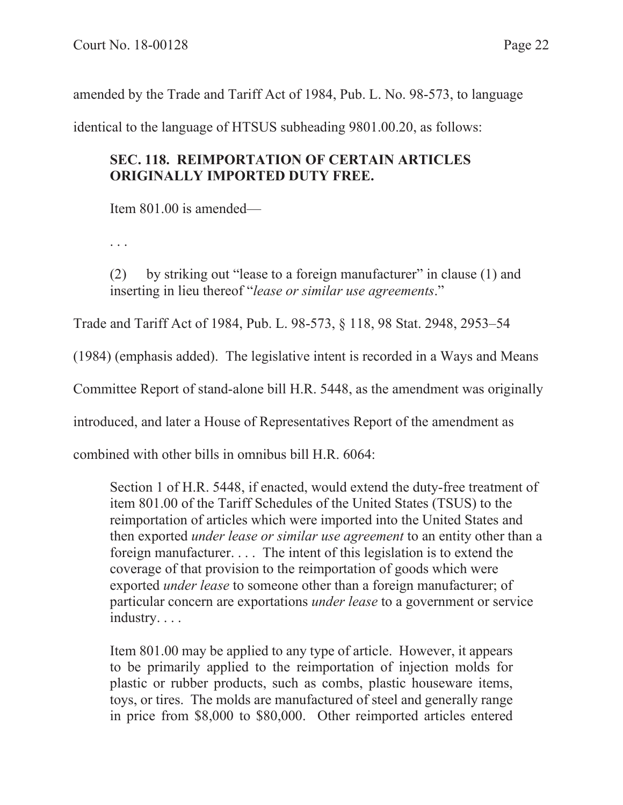amended by the Trade and Tariff Act of 1984, Pub. L. No. 98-573, to language

identical to the language of HTSUS subheading 9801.00.20, as follows:

# **SEC. 118. REIMPORTATION OF CERTAIN ARTICLES ORIGINALLY IMPORTED DUTY FREE.**

Item 801.00 is amended—

. . .

(2) by striking out "lease to a foreign manufacturer" in clause (1) and inserting in lieu thereof "*lease or similar use agreements*."

Trade and Tariff Act of 1984, Pub. L. 98-573, § 118, 98 Stat. 2948, 2953–54

(1984) (emphasis added). The legislative intent is recorded in a Ways and Means

Committee Report of stand-alone bill H.R. 5448, as the amendment was originally

introduced, and later a House of Representatives Report of the amendment as

combined with other bills in omnibus bill H.R. 6064:

Section 1 of H.R. 5448, if enacted, would extend the duty-free treatment of item 801.00 of the Tariff Schedules of the United States (TSUS) to the reimportation of articles which were imported into the United States and then exported *under lease or similar use agreement* to an entity other than a foreign manufacturer. . . . The intent of this legislation is to extend the coverage of that provision to the reimportation of goods which were exported *under lease* to someone other than a foreign manufacturer; of particular concern are exportations *under lease* to a government or service industry. . . .

Item 801.00 may be applied to any type of article. However, it appears to be primarily applied to the reimportation of injection molds for plastic or rubber products, such as combs, plastic houseware items, toys, or tires. The molds are manufactured of steel and generally range in price from \$8,000 to \$80,000. Other reimported articles entered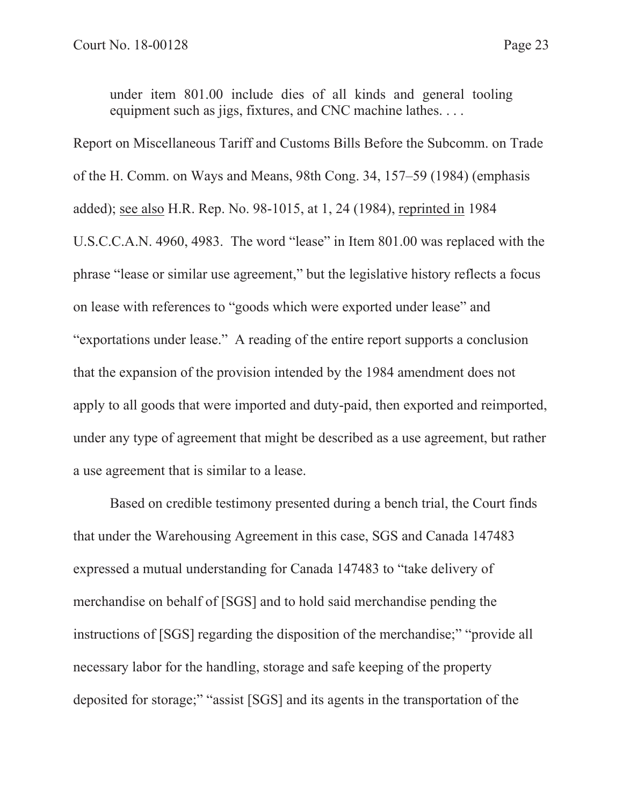under item 801.00 include dies of all kinds and general tooling equipment such as jigs, fixtures, and CNC machine lathes. . . .

Report on Miscellaneous Tariff and Customs Bills Before the Subcomm. on Trade of the H. Comm. on Ways and Means, 98th Cong. 34, 157–59 (1984) (emphasis added); see also H.R. Rep. No. 98-1015, at 1, 24 (1984), reprinted in 1984 U.S.C.C.A.N. 4960, 4983. The word "lease" in Item 801.00 was replaced with the phrase "lease or similar use agreement," but the legislative history reflects a focus on lease with references to "goods which were exported under lease" and "exportations under lease." A reading of the entire report supports a conclusion that the expansion of the provision intended by the 1984 amendment does not apply to all goods that were imported and duty-paid, then exported and reimported, under any type of agreement that might be described as a use agreement, but rather a use agreement that is similar to a lease.

Based on credible testimony presented during a bench trial, the Court finds that under the Warehousing Agreement in this case, SGS and Canada 147483 expressed a mutual understanding for Canada 147483 to "take delivery of merchandise on behalf of [SGS] and to hold said merchandise pending the instructions of [SGS] regarding the disposition of the merchandise;" "provide all necessary labor for the handling, storage and safe keeping of the property deposited for storage;" "assist [SGS] and its agents in the transportation of the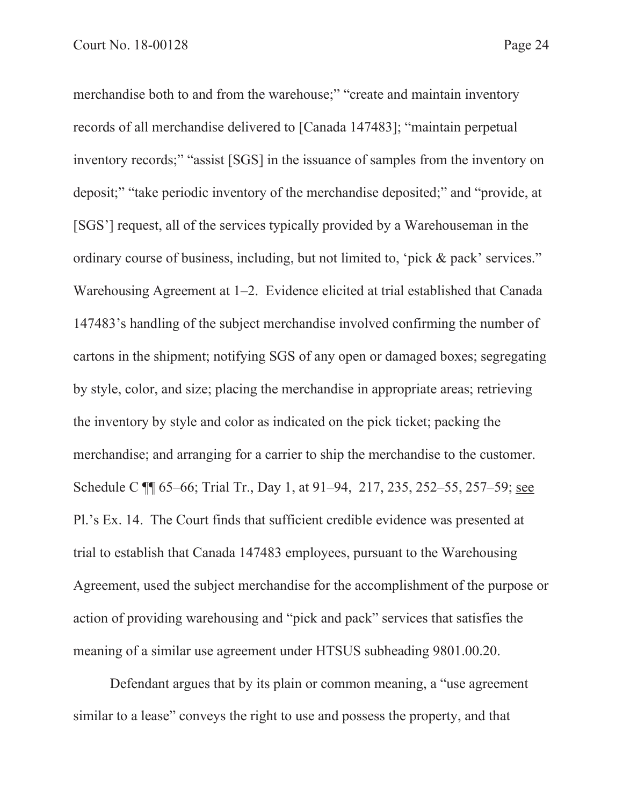merchandise both to and from the warehouse;" "create and maintain inventory records of all merchandise delivered to [Canada 147483]; "maintain perpetual inventory records;" "assist [SGS] in the issuance of samples from the inventory on deposit;" "take periodic inventory of the merchandise deposited;" and "provide, at [SGS'] request, all of the services typically provided by a Warehouseman in the ordinary course of business, including, but not limited to, 'pick & pack' services." Warehousing Agreement at 1–2. Evidence elicited at trial established that Canada 147483's handling of the subject merchandise involved confirming the number of cartons in the shipment; notifying SGS of any open or damaged boxes; segregating by style, color, and size; placing the merchandise in appropriate areas; retrieving the inventory by style and color as indicated on the pick ticket; packing the merchandise; and arranging for a carrier to ship the merchandise to the customer. Schedule C ¶¶ 65–66; Trial Tr., Day 1, at 91–94, 217, 235, 252–55, 257–59; see Pl.'s Ex. 14. The Court finds that sufficient credible evidence was presented at trial to establish that Canada 147483 employees, pursuant to the Warehousing Agreement, used the subject merchandise for the accomplishment of the purpose or action of providing warehousing and "pick and pack" services that satisfies the meaning of a similar use agreement under HTSUS subheading 9801.00.20.

Defendant argues that by its plain or common meaning, a "use agreement similar to a lease" conveys the right to use and possess the property, and that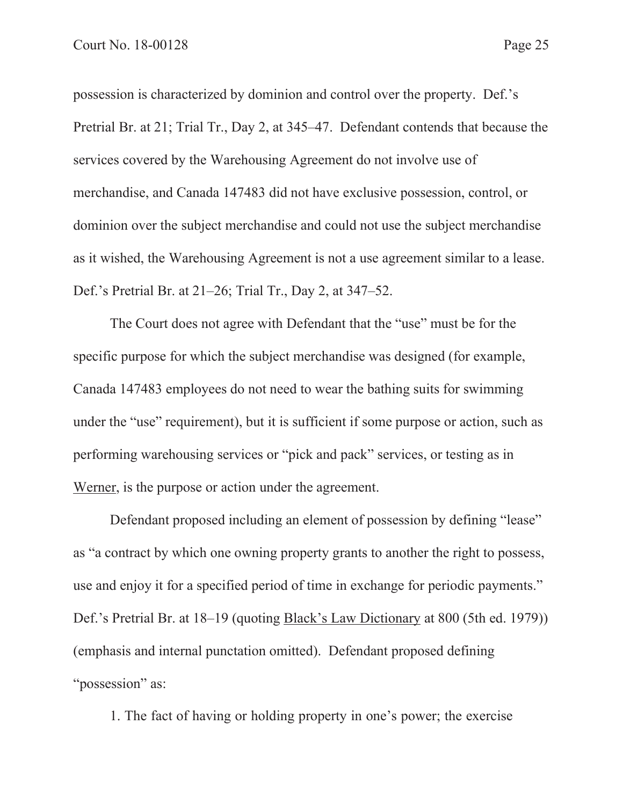possession is characterized by dominion and control over the property. Def.'s Pretrial Br. at 21; Trial Tr., Day 2, at 345–47. Defendant contends that because the services covered by the Warehousing Agreement do not involve use of merchandise, and Canada 147483 did not have exclusive possession, control, or dominion over the subject merchandise and could not use the subject merchandise as it wished, the Warehousing Agreement is not a use agreement similar to a lease. Def.'s Pretrial Br. at 21–26; Trial Tr., Day 2, at 347–52.

The Court does not agree with Defendant that the "use" must be for the specific purpose for which the subject merchandise was designed (for example, Canada 147483 employees do not need to wear the bathing suits for swimming under the "use" requirement), but it is sufficient if some purpose or action, such as performing warehousing services or "pick and pack" services, or testing as in Werner, is the purpose or action under the agreement.

Defendant proposed including an element of possession by defining "lease" as "a contract by which one owning property grants to another the right to possess, use and enjoy it for a specified period of time in exchange for periodic payments." Def.'s Pretrial Br. at 18–19 (quoting Black's Law Dictionary at 800 (5th ed. 1979)) (emphasis and internal punctation omitted). Defendant proposed defining "possession" as:

1. The fact of having or holding property in one's power; the exercise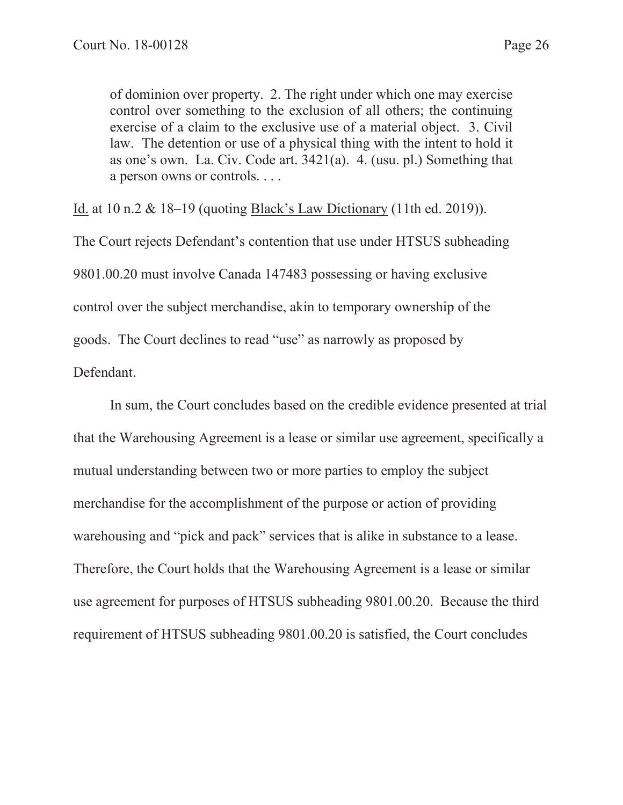of dominion over property. 2. The right under which one may exercise control over something to the exclusion of all others; the continuing exercise of a claim to the exclusive use of a material object. 3. Civil law. The detention or use of a physical thing with the intent to hold it as one's own. La. Civ. Code art. 3421(a). 4. (usu. pl.) Something that a person owns or controls. . . .

Id. at 10 n.2 & 18–19 (quoting Black's Law Dictionary (11th ed. 2019)).

The Court rejects Defendant's contention that use under HTSUS subheading 9801.00.20 must involve Canada 147483 possessing or having exclusive control over the subject merchandise, akin to temporary ownership of the goods. The Court declines to read "use" as narrowly as proposed by Defendant.

In sum, the Court concludes based on the credible evidence presented at trial that the Warehousing Agreement is a lease or similar use agreement, specifically a mutual understanding between two or more parties to employ the subject merchandise for the accomplishment of the purpose or action of providing warehousing and "pick and pack" services that is alike in substance to a lease. Therefore, the Court holds that the Warehousing Agreement is a lease or similar use agreement for purposes of HTSUS subheading 9801.00.20. Because the third requirement of HTSUS subheading 9801.00.20 is satisfied, the Court concludes